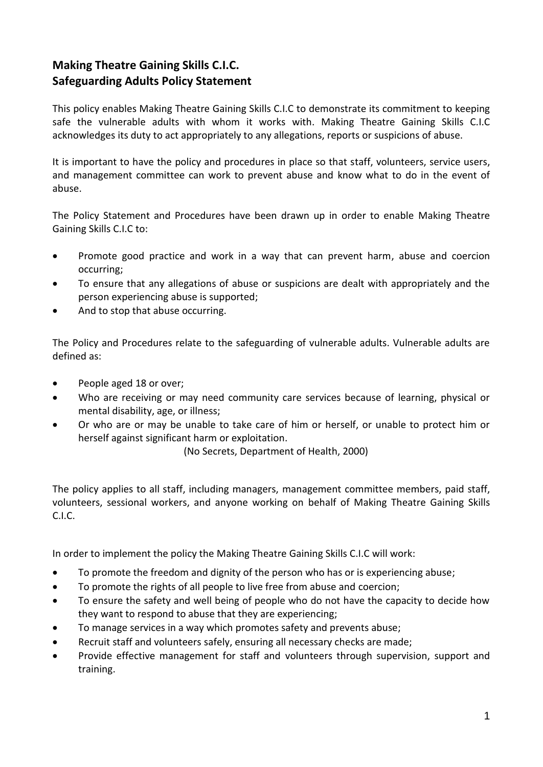# **Making Theatre Gaining Skills C.I.C. Safeguarding Adults Policy Statement**

This policy enables Making Theatre Gaining Skills C.I.C to demonstrate its commitment to keeping safe the vulnerable adults with whom it works with. Making Theatre Gaining Skills C.I.C acknowledges its duty to act appropriately to any allegations, reports or suspicions of abuse.

It is important to have the policy and procedures in place so that staff, volunteers, service users, and management committee can work to prevent abuse and know what to do in the event of abuse.

The Policy Statement and Procedures have been drawn up in order to enable Making Theatre Gaining Skills C.I.C to:

- Promote good practice and work in a way that can prevent harm, abuse and coercion occurring;
- To ensure that any allegations of abuse or suspicions are dealt with appropriately and the person experiencing abuse is supported;
- And to stop that abuse occurring.

The Policy and Procedures relate to the safeguarding of vulnerable adults. Vulnerable adults are defined as:

- People aged 18 or over;
- Who are receiving or may need community care services because of learning, physical or mental disability, age, or illness;
- Or who are or may be unable to take care of him or herself, or unable to protect him or herself against significant harm or exploitation.

(No Secrets, Department of Health, 2000)

The policy applies to all staff, including managers, management committee members, paid staff, volunteers, sessional workers, and anyone working on behalf of Making Theatre Gaining Skills C.I.C.

In order to implement the policy the Making Theatre Gaining Skills C.I.C will work:

- To promote the freedom and dignity of the person who has or is experiencing abuse;
- To promote the rights of all people to live free from abuse and coercion;
- To ensure the safety and well being of people who do not have the capacity to decide how they want to respond to abuse that they are experiencing;
- To manage services in a way which promotes safety and prevents abuse;
- Recruit staff and volunteers safely, ensuring all necessary checks are made;
- Provide effective management for staff and volunteers through supervision, support and training.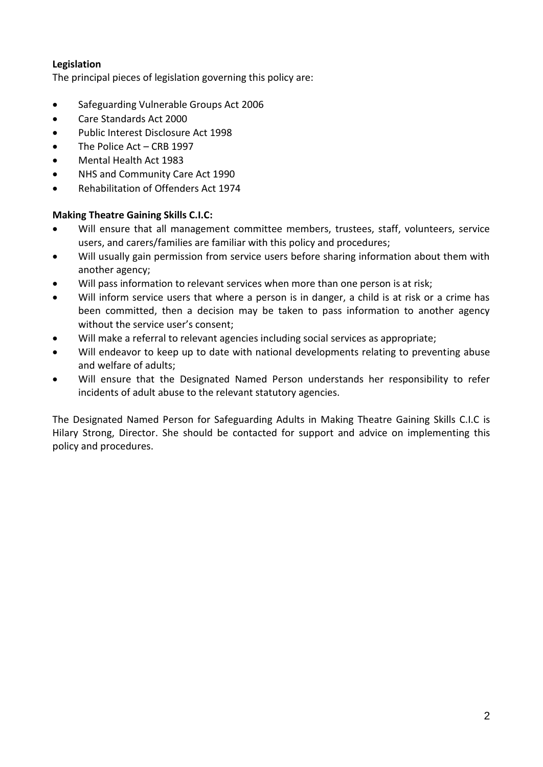# **Legislation**

The principal pieces of legislation governing this policy are:

- Safeguarding Vulnerable Groups Act 2006
- Care Standards Act 2000
- Public Interest Disclosure Act 1998
- The Police Act CRB 1997
- Mental Health Act 1983
- NHS and Community Care Act 1990
- Rehabilitation of Offenders Act 1974

## **Making Theatre Gaining Skills C.I.C:**

- Will ensure that all management committee members, trustees, staff, volunteers, service users, and carers/families are familiar with this policy and procedures;
- Will usually gain permission from service users before sharing information about them with another agency;
- Will pass information to relevant services when more than one person is at risk;
- Will inform service users that where a person is in danger, a child is at risk or a crime has been committed, then a decision may be taken to pass information to another agency without the service user's consent;
- Will make a referral to relevant agencies including social services as appropriate;
- Will endeavor to keep up to date with national developments relating to preventing abuse and welfare of adults;
- Will ensure that the Designated Named Person understands her responsibility to refer incidents of adult abuse to the relevant statutory agencies.

The Designated Named Person for Safeguarding Adults in Making Theatre Gaining Skills C.I.C is Hilary Strong, Director. She should be contacted for support and advice on implementing this policy and procedures.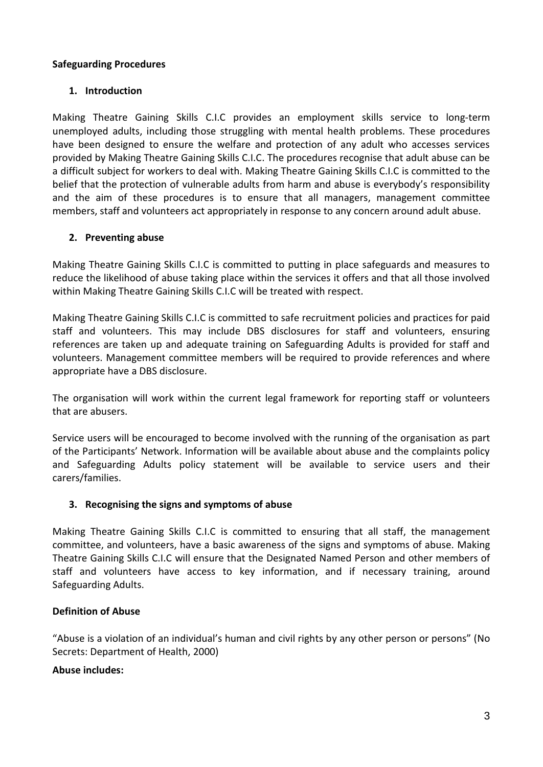## **Safeguarding Procedures**

## **1. Introduction**

Making Theatre Gaining Skills C.I.C provides an employment skills service to long-term unemployed adults, including those struggling with mental health problems. These procedures have been designed to ensure the welfare and protection of any adult who accesses services provided by Making Theatre Gaining Skills C.I.C. The procedures recognise that adult abuse can be a difficult subject for workers to deal with. Making Theatre Gaining Skills C.I.C is committed to the belief that the protection of vulnerable adults from harm and abuse is everybody's responsibility and the aim of these procedures is to ensure that all managers, management committee members, staff and volunteers act appropriately in response to any concern around adult abuse.

## **2. Preventing abuse**

Making Theatre Gaining Skills C.I.C is committed to putting in place safeguards and measures to reduce the likelihood of abuse taking place within the services it offers and that all those involved within Making Theatre Gaining Skills C.I.C will be treated with respect.

Making Theatre Gaining Skills C.I.C is committed to safe recruitment policies and practices for paid staff and volunteers. This may include DBS disclosures for staff and volunteers, ensuring references are taken up and adequate training on Safeguarding Adults is provided for staff and volunteers. Management committee members will be required to provide references and where appropriate have a DBS disclosure.

The organisation will work within the current legal framework for reporting staff or volunteers that are abusers.

Service users will be encouraged to become involved with the running of the organisation as part of the Participants' Network. Information will be available about abuse and the complaints policy and Safeguarding Adults policy statement will be available to service users and their carers/families.

# **3. Recognising the signs and symptoms of abuse**

Making Theatre Gaining Skills C.I.C is committed to ensuring that all staff, the management committee, and volunteers, have a basic awareness of the signs and symptoms of abuse. Making Theatre Gaining Skills C.I.C will ensure that the Designated Named Person and other members of staff and volunteers have access to key information, and if necessary training, around Safeguarding Adults.

## **Definition of Abuse**

"Abuse is a violation of an individual's human and civil rights by any other person or persons" (No Secrets: Department of Health, 2000)

## **Abuse includes:**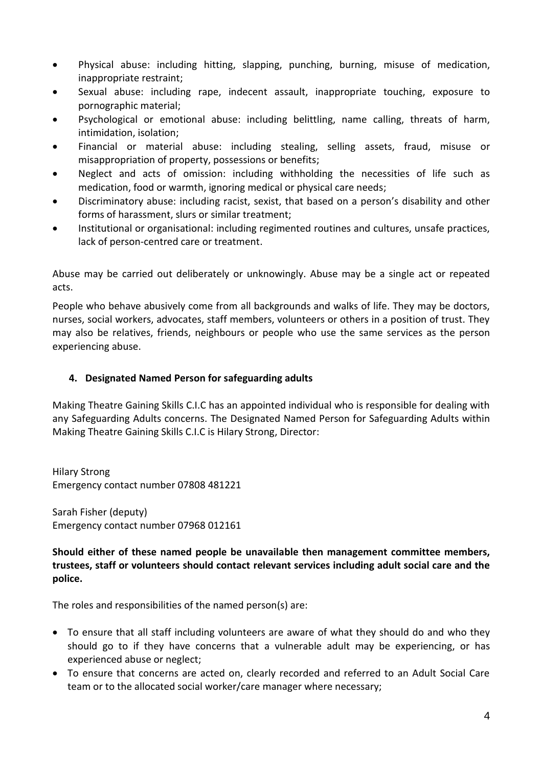- Physical abuse: including hitting, slapping, punching, burning, misuse of medication, inappropriate restraint;
- Sexual abuse: including rape, indecent assault, inappropriate touching, exposure to pornographic material;
- Psychological or emotional abuse: including belittling, name calling, threats of harm, intimidation, isolation;
- Financial or material abuse: including stealing, selling assets, fraud, misuse or misappropriation of property, possessions or benefits;
- Neglect and acts of omission: including withholding the necessities of life such as medication, food or warmth, ignoring medical or physical care needs;
- Discriminatory abuse: including racist, sexist, that based on a person's disability and other forms of harassment, slurs or similar treatment;
- Institutional or organisational: including regimented routines and cultures, unsafe practices, lack of person-centred care or treatment.

Abuse may be carried out deliberately or unknowingly. Abuse may be a single act or repeated acts.

People who behave abusively come from all backgrounds and walks of life. They may be doctors, nurses, social workers, advocates, staff members, volunteers or others in a position of trust. They may also be relatives, friends, neighbours or people who use the same services as the person experiencing abuse.

## **4. Designated Named Person for safeguarding adults**

Making Theatre Gaining Skills C.I.C has an appointed individual who is responsible for dealing with any Safeguarding Adults concerns. The Designated Named Person for Safeguarding Adults within Making Theatre Gaining Skills C.I.C is Hilary Strong, Director:

Hilary Strong Emergency contact number 07808 481221

Sarah Fisher (deputy) Emergency contact number 07968 012161

**Should either of these named people be unavailable then management committee members, trustees, staff or volunteers should contact relevant services including adult social care and the police.** 

The roles and responsibilities of the named person(s) are:

- To ensure that all staff including volunteers are aware of what they should do and who they should go to if they have concerns that a vulnerable adult may be experiencing, or has experienced abuse or neglect;
- To ensure that concerns are acted on, clearly recorded and referred to an Adult Social Care team or to the allocated social worker/care manager where necessary;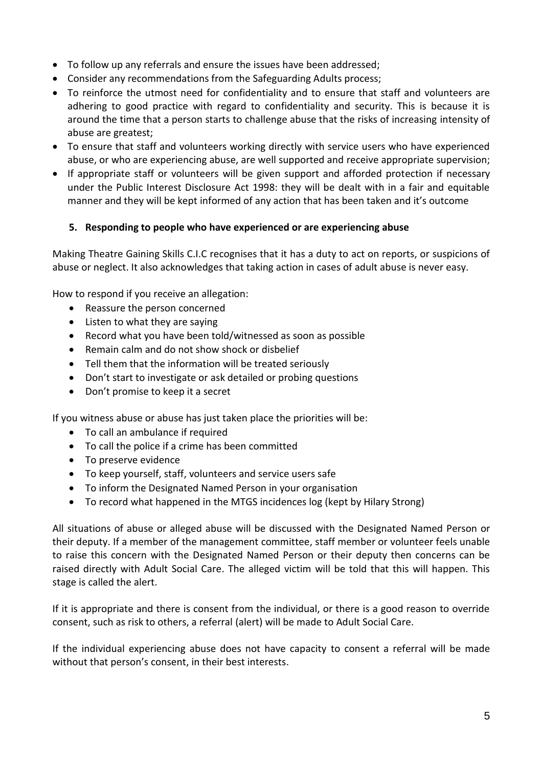- To follow up any referrals and ensure the issues have been addressed;
- Consider any recommendations from the Safeguarding Adults process;
- To reinforce the utmost need for confidentiality and to ensure that staff and volunteers are adhering to good practice with regard to confidentiality and security. This is because it is around the time that a person starts to challenge abuse that the risks of increasing intensity of abuse are greatest;
- To ensure that staff and volunteers working directly with service users who have experienced abuse, or who are experiencing abuse, are well supported and receive appropriate supervision;
- If appropriate staff or volunteers will be given support and afforded protection if necessary under the Public Interest Disclosure Act 1998: they will be dealt with in a fair and equitable manner and they will be kept informed of any action that has been taken and it's outcome

#### **5. Responding to people who have experienced or are experiencing abuse**

Making Theatre Gaining Skills C.I.C recognises that it has a duty to act on reports, or suspicions of abuse or neglect. It also acknowledges that taking action in cases of adult abuse is never easy.

How to respond if you receive an allegation:

- Reassure the person concerned
- Listen to what they are saying
- Record what you have been told/witnessed as soon as possible
- Remain calm and do not show shock or disbelief
- Tell them that the information will be treated seriously
- Don't start to investigate or ask detailed or probing questions
- Don't promise to keep it a secret

If you witness abuse or abuse has just taken place the priorities will be:

- To call an ambulance if required
- To call the police if a crime has been committed
- To preserve evidence
- To keep yourself, staff, volunteers and service users safe
- To inform the Designated Named Person in your organisation
- To record what happened in the MTGS incidences log (kept by Hilary Strong)

All situations of abuse or alleged abuse will be discussed with the Designated Named Person or their deputy. If a member of the management committee, staff member or volunteer feels unable to raise this concern with the Designated Named Person or their deputy then concerns can be raised directly with Adult Social Care. The alleged victim will be told that this will happen. This stage is called the alert.

If it is appropriate and there is consent from the individual, or there is a good reason to override consent, such as risk to others, a referral (alert) will be made to Adult Social Care.

If the individual experiencing abuse does not have capacity to consent a referral will be made without that person's consent, in their best interests.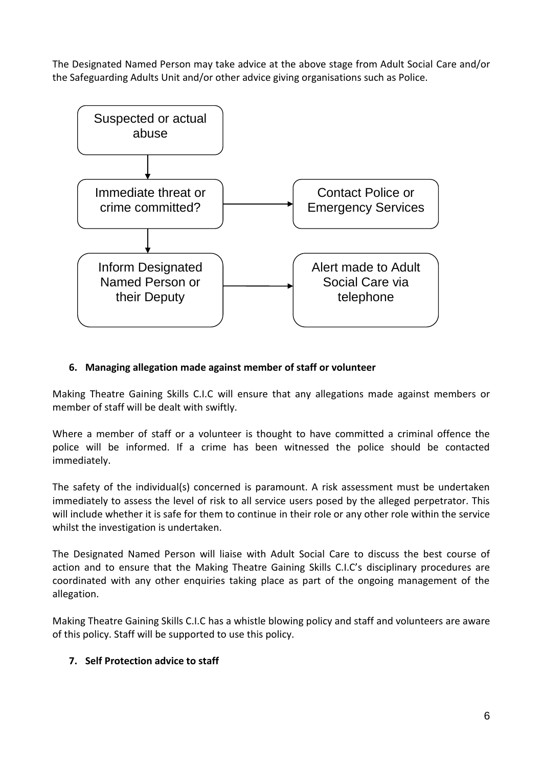The Designated Named Person may take advice at the above stage from Adult Social Care and/or the Safeguarding Adults Unit and/or other advice giving organisations such as Police.



## **6. Managing allegation made against member of staff or volunteer**

Making Theatre Gaining Skills C.I.C will ensure that any allegations made against members or member of staff will be dealt with swiftly.

Where a member of staff or a volunteer is thought to have committed a criminal offence the police will be informed. If a crime has been witnessed the police should be contacted immediately.

The safety of the individual(s) concerned is paramount. A risk assessment must be undertaken immediately to assess the level of risk to all service users posed by the alleged perpetrator. This will include whether it is safe for them to continue in their role or any other role within the service whilst the investigation is undertaken.

The Designated Named Person will liaise with Adult Social Care to discuss the best course of action and to ensure that the Making Theatre Gaining Skills C.I.C's disciplinary procedures are coordinated with any other enquiries taking place as part of the ongoing management of the allegation.

Making Theatre Gaining Skills C.I.C has a whistle blowing policy and staff and volunteers are aware of this policy. Staff will be supported to use this policy.

# **7. Self Protection advice to staff**